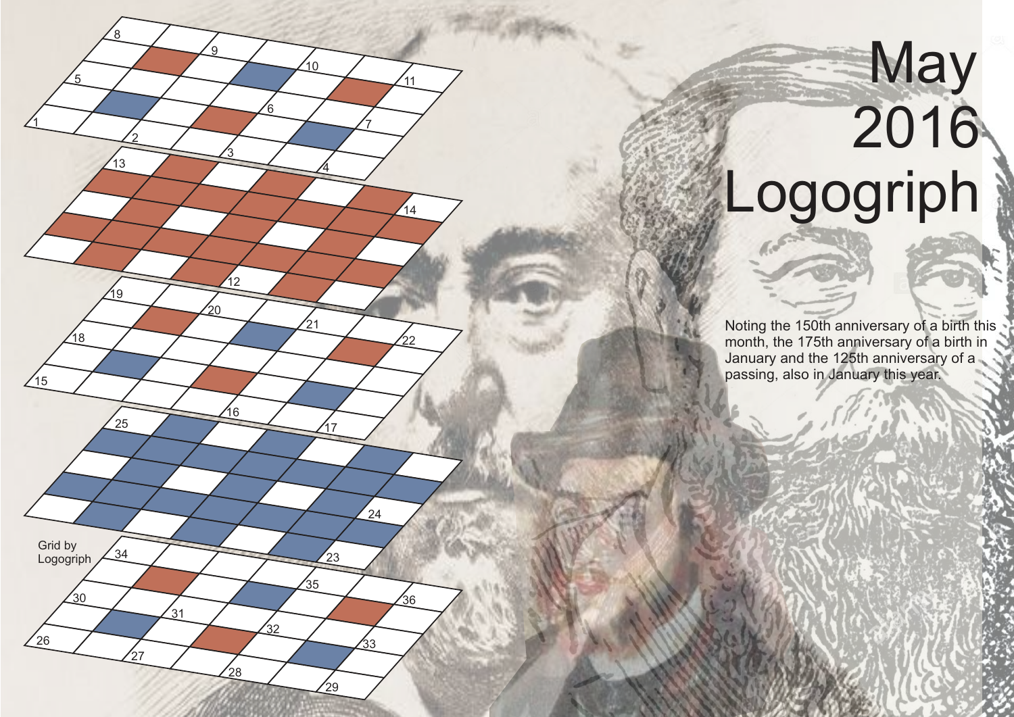## **Example 18**  2016 Logogriph

1

 $15$ 

 $26$ 

Grid by Logogriph

30

 $18$ 

5

2

 $\frac{1}{3}$ 

19

 $\frac{25}{25}$ 

 $34$ 

27

์<br>31

8

3

12

20

16

 $28$ 

 $'32$ 

9

6

 $\overline{4}$ 

17

 $23$ 

.<br>२५

29

 $\overline{24}$ 

 $\mathfrak{s}_3$ 

.<br>36

21

.<br>10

7

11

 $14$ 

 $22$ 

Noting the 150th anniversary of a birth this month, the 175th anniversary of a birth in January and the 125th anniversary of a passing, also in January this year.